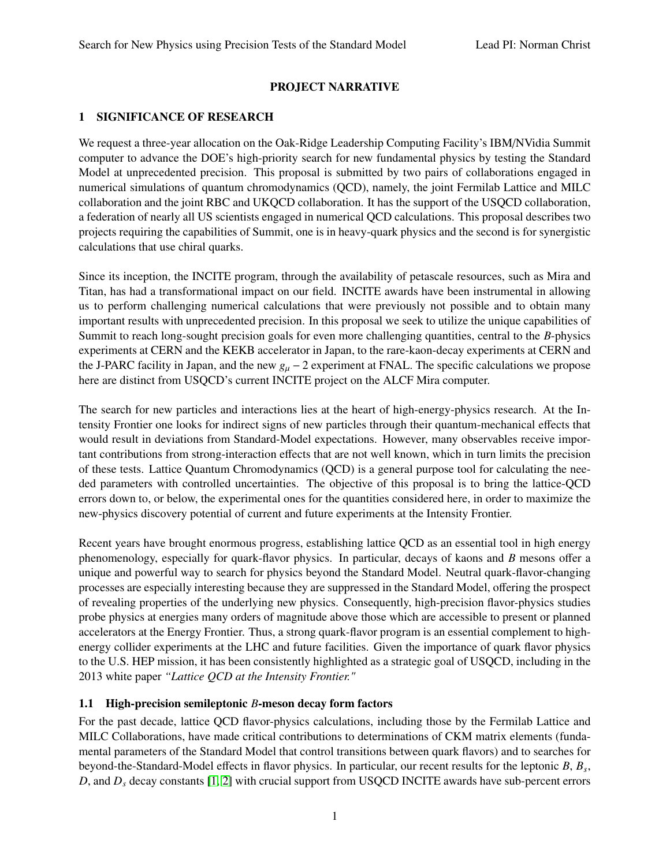# PROJECT NARRATIVE

## 1 SIGNIFICANCE OF RESEARCH

We request a three-year allocation on the Oak-Ridge Leadership Computing Facility's IBM/NVidia Summit computer to advance the DOE's high-priority search for new fundamental physics by testing the Standard Model at unprecedented precision. This proposal is submitted by two pairs of collaborations engaged in numerical simulations of quantum chromodynamics (QCD), namely, the joint Fermilab Lattice and MILC collaboration and the joint RBC and UKQCD collaboration. It has the support of the USQCD collaboration, a federation of nearly all US scientists engaged in numerical QCD calculations. This proposal describes two projects requiring the capabilities of Summit, one is in heavy-quark physics and the second is for synergistic calculations that use chiral quarks.

Since its inception, the INCITE program, through the availability of petascale resources, such as Mira and Titan, has had a transformational impact on our field. INCITE awards have been instrumental in allowing us to perform challenging numerical calculations that were previously not possible and to obtain many important results with unprecedented precision. In this proposal we seek to utilize the unique capabilities of Summit to reach long-sought precision goals for even more challenging quantities, central to the *B*-physics experiments at CERN and the KEKB accelerator in Japan, to the rare-kaon-decay experiments at CERN and the J-PARC facility in Japan, and the new  $g_\mu - 2$  experiment at FNAL. The specific calculations we propose here are distinct from USQCD's current INCITE project on the ALCF Mira computer.

The search for new particles and interactions lies at the heart of high-energy-physics research. At the Intensity Frontier one looks for indirect signs of new particles through their quantum-mechanical effects that would result in deviations from Standard-Model expectations. However, many observables receive important contributions from strong-interaction effects that are not well known, which in turn limits the precision of these tests. Lattice Quantum Chromodynamics (QCD) is a general purpose tool for calculating the needed parameters with controlled uncertainties. The objective of this proposal is to bring the lattice-QCD errors down to, or below, the experimental ones for the quantities considered here, in order to maximize the new-physics discovery potential of current and future experiments at the Intensity Frontier.

Recent years have brought enormous progress, establishing lattice QCD as an essential tool in high energy phenomenology, especially for quark-flavor physics. In particular, decays of kaons and *B* mesons offer a unique and powerful way to search for physics beyond the Standard Model. Neutral quark-flavor-changing processes are especially interesting because they are suppressed in the Standard Model, offering the prospect of revealing properties of the underlying new physics. Consequently, high-precision flavor-physics studies probe physics at energies many orders of magnitude above those which are accessible to present or planned accelerators at the Energy Frontier. Thus, a strong quark-flavor program is an essential complement to highenergy collider experiments at the LHC and future facilities. Given the importance of quark flavor physics to the U.S. HEP mission, it has been consistently highlighted as a strategic goal of USQCD, including in the 2013 white paper *"Lattice QCD at the Intensity Frontier."*

## 1.1 High-precision semileptonic *B*-meson decay form factors

For the past decade, lattice QCD flavor-physics calculations, including those by the Fermilab Lattice and MILC Collaborations, have made critical contributions to determinations of CKM matrix elements (fundamental parameters of the Standard Model that control transitions between quark flavors) and to searches for beyond-the-Standard-Model effects in flavor physics. In particular, our recent results for the leptonic *B*, *B<sup>s</sup>* , *D*, and *D<sub>s</sub>* decay constants [\[1,](#page-15-0) [2\]](#page-15-1) with crucial support from USQCD INCITE awards have sub-percent errors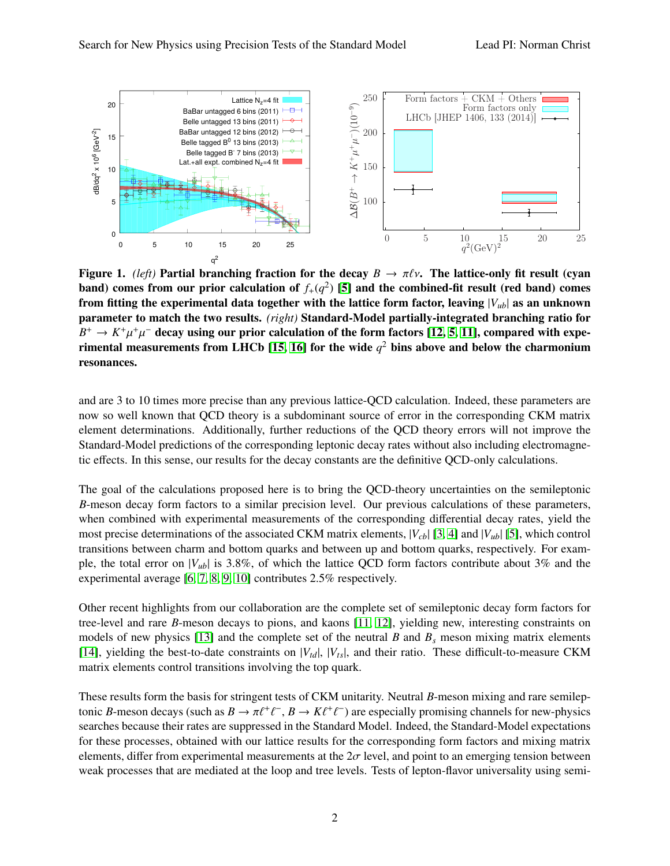<span id="page-1-0"></span>

Figure 1. *(left)* Partial branching fraction for the decay  $B \to \pi \ell \nu$ . The lattice-only fit result (cyan band) comes from our prior calculation of  $f_+(q^2)$  [\[5\]](#page-15-2) and the combined-fit result (red band) comes from fitting the experimental data together with the lattice form factor, leaving  $|V_{ub}|$  as an unknown parameter to match the two results. *(right)* Standard-Model partially-integrated branching ratio for  $B^+ \to K^+ \mu^+ \mu^-$  decay using our prior calculation of the form factors [\[12,](#page-15-3) [5,](#page-15-2) [11\]](#page-15-4), compared with expe- $\frac{1}{2}$  in the proportion of the state contribution of the vide  $q^2$  bins above and below the charmonium resonances.

and are 3 to 10 times more precise than any previous lattice-QCD calculation. Indeed, these parameters are now so well known that QCD theory is a subdominant source of error in the corresponding CKM matrix element determinations. Additionally, further reductions of the QCD theory errors will not improve the Standard-Model predictions of the corresponding leptonic decay rates without also including electromagnetic effects. In this sense, our results for the decay constants are the definitive QCD-only calculations.

The goal of the calculations proposed here is to bring the QCD-theory uncertainties on the semileptonic *B*-meson decay form factors to a similar precision level. Our previous calculations of these parameters, when combined with experimental measurements of the corresponding differential decay rates, yield the most precise determinations of the associated CKM matrix elements, |*Vcb*| [\[3,](#page-15-7) [4\]](#page-15-8) and |*Vub*| [\[5\]](#page-15-2), which control transitions between charm and bottom quarks and between up and bottom quarks, respectively. For example, the total error on  $|V_{ub}|$  is 3.8%, of which the lattice QCD form factors contribute about 3% and the experimental average [\[6,](#page-15-9) [7,](#page-15-10) [8,](#page-15-11) [9,](#page-15-12) [10\]](#page-15-13) contributes 2.5% respectively.

Other recent highlights from our collaboration are the complete set of semileptonic decay form factors for tree-level and rare *B*-meson decays to pions, and kaons [\[11,](#page-15-4) [12\]](#page-15-3), yielding new, interesting constraints on models of new physics [\[13\]](#page-15-14) and the complete set of the neutral  $B$  and  $B_s$  meson mixing matrix elements [\[14\]](#page-15-15), yielding the best-to-date constraints on  $|V_{td}|$ ,  $|V_{ts}|$ , and their ratio. These difficult-to-measure CKM matrix elements control transitions involving the top quark.

These results form the basis for stringent tests of CKM unitarity. Neutral *B*-meson mixing and rare semileptonic *B*-meson decays (such as  $B \to \pi \ell^+ \ell^-$ ,  $B \to K \ell^+ \ell^-$ ) are especially promising channels for new-physics searches because their rates are suppressed in the Standard Model. Indeed, the Standard-Model expectations ` ` searches because their rates are suppressed in the Standard Model. Indeed, the Standard-Model expectations for these processes, obtained with our lattice results for the corresponding form factors and mixing matrix elements, differ from experimental measurements at the  $2\sigma$  level, and point to an emerging tension between weak processes that are mediated at the loop and tree levels. Tests of lepton-flavor universality using semi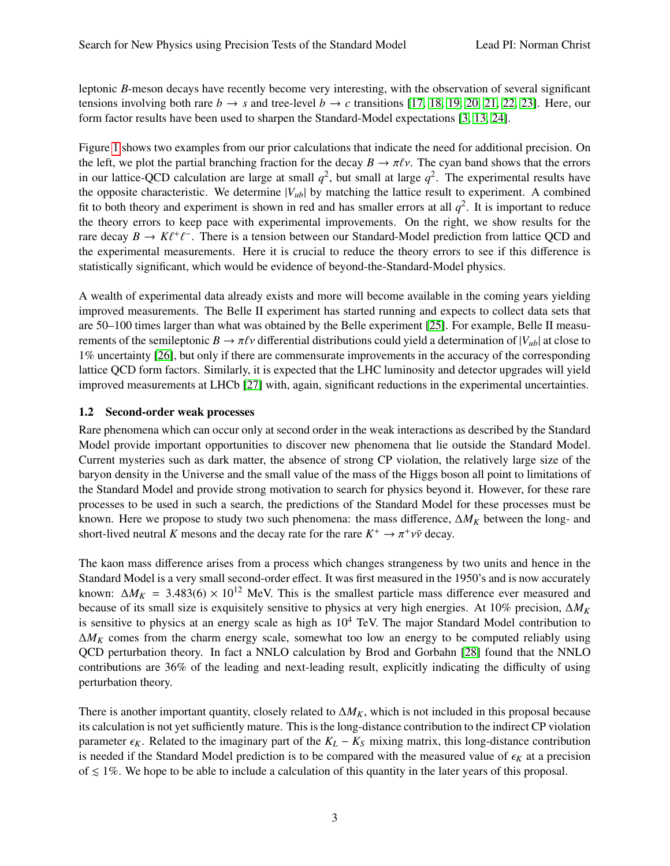leptonic *B*-meson decays have recently become very interesting, with the observation of several significant tensions involving both rare  $b \rightarrow s$  and tree-level  $b \rightarrow c$  transitions [\[17,](#page-15-16) [18,](#page-15-17) [19,](#page-15-18) [20,](#page-15-19) [21,](#page-16-0) [22,](#page-16-1) [23\]](#page-16-2). Here, our form factor results have been used to sharpen the Standard-Model expectations [\[3,](#page-15-7) [13,](#page-15-14) [24\]](#page-16-3).

Figure [1](#page-1-0) shows two examples from our prior calculations that indicate the need for additional precision. On the left, we plot the partial branching fraction for the decay  $B \to \pi \ell \nu$ . The cyan band shows that the errors in our lattice-QCD calculation are large at small  $q^2$ , but small at large  $q^2$ . The experimental results have the opposite characteristic. We determine  $|V_{ub}|$  by matching the lattice result to experiment. A combined fit to both theory and experiment is shown in red and has smaller errors at all  $q^2$ . It is important to reduce the theory errors to keep pace with experimental improvements. On the right, we show results for the rare decay  $B \to K \ell^+ \ell^-$ . There is a tension between our Standard-Model prediction from lattice QCD and the experimental measurements. Here it is crucial to reduce the theory errors to see if this difference is the experimental measurements. Here it is crucial to reduce the theory errors to see if this difference is statistically significant, which would be evidence of beyond-the-Standard-Model physics.

A wealth of experimental data already exists and more will become available in the coming years yielding improved measurements. The Belle II experiment has started running and expects to collect data sets that are 50–100 times larger than what was obtained by the Belle experiment [\[25\]](#page-16-4). For example, Belle II measurements of the semileptonic  $B \to \pi \ell \nu$  differential distributions could yield a determination of  $|V_{ub}|$  at close to 1% uncertainty [\[26\]](#page-16-5), but only if there are commensurate improvements in the accuracy of the corresponding lattice QCD form factors. Similarly, it is expected that the LHC luminosity and detector upgrades will yield improved measurements at LHCb [\[27\]](#page-16-6) with, again, significant reductions in the experimental uncertainties.

## 1.2 Second-order weak processes

Rare phenomena which can occur only at second order in the weak interactions as described by the Standard Model provide important opportunities to discover new phenomena that lie outside the Standard Model. Current mysteries such as dark matter, the absence of strong CP violation, the relatively large size of the baryon density in the Universe and the small value of the mass of the Higgs boson all point to limitations of the Standard Model and provide strong motivation to search for physics beyond it. However, for these rare processes to be used in such a search, the predictions of the Standard Model for these processes must be known. Here we propose to study two such phenomena: the mass difference, ∆*M<sup>K</sup>* between the long- and short-lived neutral *K* mesons and the decay rate for the rare  $K^+ \to \pi^+ \nu \bar{\nu}$  decay.

The kaon mass difference arises from a process which changes strangeness by two units and hence in the Standard Model is a very small second-order effect. It was first measured in the 1950's and is now accurately known:  $\Delta M_K$  = 3.483(6) × 10<sup>12</sup> MeV. This is the smallest particle mass difference ever measured and because of its small size is exquisitely sensitive to physics at very high energies. At 10% precision, ∆*M<sup>K</sup>* is sensitive to physics at an energy scale as high as  $10^4$  TeV. The major Standard Model contribution to  $\Delta M_K$  comes from the charm energy scale, somewhat too low an energy to be computed reliably using QCD perturbation theory. In fact a NNLO calculation by Brod and Gorbahn [\[28\]](#page-16-7) found that the NNLO contributions are 36% of the leading and next-leading result, explicitly indicating the difficulty of using perturbation theory.

There is another important quantity, closely related to  $\Delta M_K$ , which is not included in this proposal because its calculation is not yet sufficiently mature. This is the long-distance contribution to the indirect CP violation parameter  $\epsilon_K$ . Related to the imaginary part of the  $K_L - K_S$  mixing matrix, this long-distance contribution is needed if the Standard Model prediction is to be compared with the measured value of  $\epsilon_K$  at a precision of  $\leq 1\%$ . We hope to be able to include a calculation of this quantity in the later years of this proposal.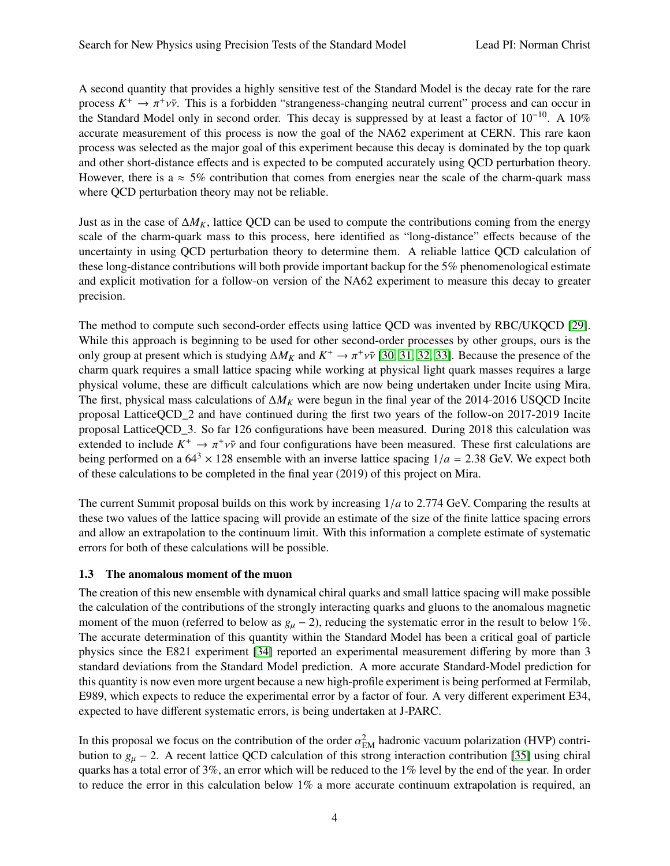A second quantity that provides a highly sensitive test of the Standard Model is the decay rate for the rare process  $K^+ \to \pi^+ \nu \bar{\nu}$ . This is a forbidden "strangeness-changing neutral current" process and can occur in the Standard Model only in second order. This decay is suppressed by at least a factor of  $10^{-10}$ . A  $10\%$ the Standard Model only in second order. This decay is suppressed by at least a factor of  $10^{-10}$ . A  $10\%$ accurate measurement of this process is now the goal of the NA62 experiment at CERN. This rare kaon process was selected as the major goal of this experiment because this decay is dominated by the top quark and other short-distance effects and is expected to be computed accurately using QCD perturbation theory. However, there is a  $\approx$  5% contribution that comes from energies near the scale of the charm-quark mass where QCD perturbation theory may not be reliable.

Just as in the case of  $\Delta M_K$ , lattice QCD can be used to compute the contributions coming from the energy scale of the charm-quark mass to this process, here identified as "long-distance" effects because of the uncertainty in using QCD perturbation theory to determine them. A reliable lattice QCD calculation of these long-distance contributions will both provide important backup for the 5% phenomenological estimate and explicit motivation for a follow-on version of the NA62 experiment to measure this decay to greater precision.

The method to compute such second-order effects using lattice QCD was invented by RBC/UKQCD [\[29\]](#page-16-8). While this approach is beginning to be used for other second-order processes by other groups, ours is the only group at present which is studying  $\Delta M_K$  and  $K^+ \to \pi^+ \nu \bar{\nu}$  [\[30,](#page-16-9) [31,](#page-16-10) [32,](#page-16-11) [33\]](#page-16-12). Because the presence of the charm quark requires a small lattice specing while working at physical light quark masses requires a larg charm quark requires a small lattice spacing while working at physical light quark masses requires a large physical volume, these are difficult calculations which are now being undertaken under Incite using Mira. The first, physical mass calculations of ∆*M<sup>K</sup>* were begun in the final year of the 2014-2016 USQCD Incite proposal LatticeQCD\_2 and have continued during the first two years of the follow-on 2017-2019 Incite proposal LatticeQCD\_3. So far 126 configurations have been measured. During 2018 this calculation was extended to include  $K^+ \to \pi^+ \nu \bar{\nu}$  and four configurations have been measured. These first calculations are<br>heing performed on a 64<sup>3</sup> × 128 ensemble with an inverse lattice spacing  $1/a = 2.38$  GeV. We expect both being performed on a  $64^3 \times 128$  ensemble with an inverse lattice spacing  $1/a = 2.38$  GeV. We expect both of these calculations to be completed in the final year (2019) of this project on Mira.

The current Summit proposal builds on this work by increasing 1/*<sup>a</sup>* to 2.774 GeV. Comparing the results at these two values of the lattice spacing will provide an estimate of the size of the finite lattice spacing errors and allow an extrapolation to the continuum limit. With this information a complete estimate of systematic errors for both of these calculations will be possible.

### 1.3 The anomalous moment of the muon

The creation of this new ensemble with dynamical chiral quarks and small lattice spacing will make possible the calculation of the contributions of the strongly interacting quarks and gluons to the anomalous magnetic moment of the muon (referred to below as  $g_{\mu}$  – 2), reducing the systematic error in the result to below 1%. The accurate determination of this quantity within the Standard Model has been a critical goal of particle physics since the E821 experiment [\[34\]](#page-16-13) reported an experimental measurement differing by more than 3 standard deviations from the Standard Model prediction. A more accurate Standard-Model prediction for this quantity is now even more urgent because a new high-profile experiment is being performed at Fermilab, E989, which expects to reduce the experimental error by a factor of four. A very different experiment E34, expected to have different systematic errors, is being undertaken at J-PARC.

In this proposal we focus on the contribution of the order  $\alpha_{\text{EM}}^2$  hadronic vacuum polarization (HVP) contri-<br>bution to  $a = 2$ . A recent lattice OCD calculation of this strong interaction contribution [35] using chir bution to  $g_{\mu}$  − 2. A recent lattice QCD calculation of this strong interaction contribution [\[35\]](#page-16-14) using chiral quarks has a total error of 3%, an error which will be reduced to the 1% level by the end of the year. In order to reduce the error in this calculation below 1% a more accurate continuum extrapolation is required, an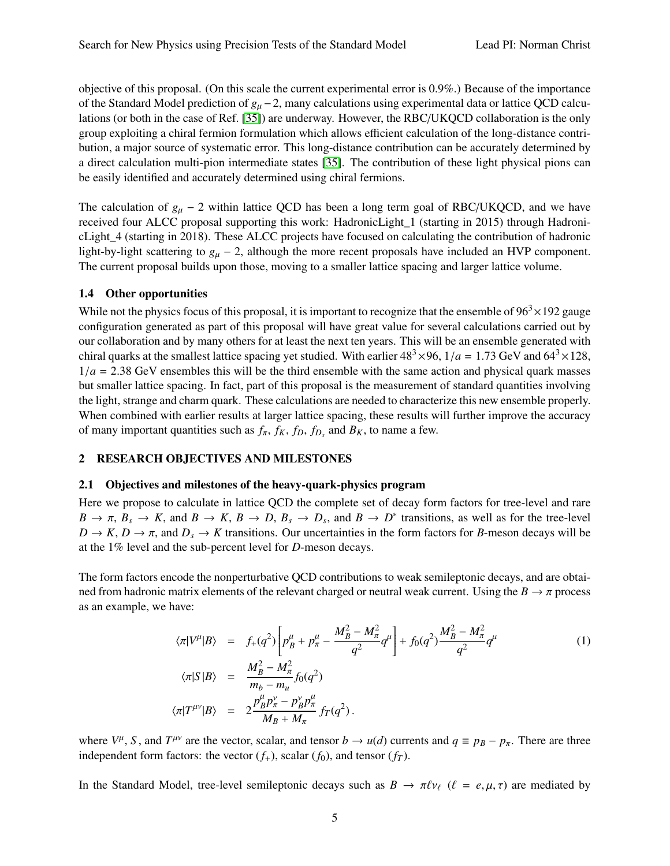objective of this proposal. (On this scale the current experimental error is 0.9%.) Because of the importance of the Standard Model prediction of *<sup>g</sup>*µ <sup>−</sup>2, many calculations using experimental data or lattice QCD calculations (or both in the case of Ref. [\[35\]](#page-16-14)) are underway. However, the RBC/UKQCD collaboration is the only group exploiting a chiral fermion formulation which allows efficient calculation of the long-distance contribution, a major source of systematic error. This long-distance contribution can be accurately determined by a direct calculation multi-pion intermediate states [\[35\]](#page-16-14). The contribution of these light physical pions can be easily identified and accurately determined using chiral fermions.

The calculation of  $g_{\mu}$  − 2 within lattice QCD has been a long term goal of RBC/UKQCD, and we have received four ALCC proposal supporting this work: HadronicLight\_1 (starting in 2015) through HadronicLight\_4 (starting in 2018). These ALCC projects have focused on calculating the contribution of hadronic light-by-light scattering to  $g_{\mu}$  – 2, although the more recent proposals have included an HVP component. The current proposal builds upon those, moving to a smaller lattice spacing and larger lattice volume.

### 1.4 Other opportunities

While not the physics focus of this proposal, it is important to recognize that the ensemble of  $96<sup>3</sup> \times 192$  gauge configuration generated as part of this proposal will have great value for several calculations carried out by our collaboration and by many others for at least the next ten years. This will be an ensemble generated with chiral quarks at the smallest lattice spacing yet studied. With earlier  $48^3 \times 96$ ,  $1/a = 1.73$  GeV and  $64^3 \times 128$ ,  $1/a = 2.38$  GeV ensembles this will be the third ensemble with the same action and physical quark masses but smaller lattice spacing. In fact, part of this proposal is the measurement of standard quantities involving the light, strange and charm quark. These calculations are needed to characterize this new ensemble properly. When combined with earlier results at larger lattice spacing, these results will further improve the accuracy of many important quantities such as  $f_{\pi}$ ,  $f_K$ ,  $f_D$ ,  $f_{D_s}$  and  $B_K$ , to name a few.

### <span id="page-4-0"></span>2 RESEARCH OBJECTIVES AND MILESTONES

#### 2.1 Objectives and milestones of the heavy-quark-physics program

Here we propose to calculate in lattice QCD the complete set of decay form factors for tree-level and rare  $B \to \pi$ ,  $B_s \to K$ , and  $B \to K$ ,  $B \to D$ ,  $B_s \to D_s$ , and  $B \to D^*$  transitions, as well as for the tree-level<br> $D \to K$ ,  $D \to \pi$  and  $D \to K$  transitions. Our uncertainties in the form factors for *B*-meson decays will be  $D \to K$ ,  $D \to \pi$ , and  $D_s \to K$  transitions. Our uncertainties in the form factors for *B*-meson decays will be at the 1% level and the sub-percent level for *D*-meson decays.

The form factors encode the nonperturbative QCD contributions to weak semileptonic decays, and are obtained from hadronic matrix elements of the relevant charged or neutral weak current. Using the  $B \to \pi$  process as an example, we have:

$$
\langle \pi | V^{\mu} | B \rangle = f_{+}(q^{2}) \left[ p_{B}^{\mu} + p_{\pi}^{\mu} - \frac{M_{B}^{2} - M_{\pi}^{2}}{q^{2}} q^{\mu} \right] + f_{0}(q^{2}) \frac{M_{B}^{2} - M_{\pi}^{2}}{q^{2}} q^{\mu}
$$
\n
$$
\langle \pi | S | B \rangle = \frac{M_{B}^{2} - M_{\pi}^{2}}{m_{b} - m_{u}} f_{0}(q^{2})
$$
\n
$$
\langle \pi | T^{\mu \nu} | B \rangle = 2 \frac{p_{B}^{\mu} p_{\pi}^{\nu} - p_{B}^{\nu} p_{\pi}^{\mu}}{M_{B} + M_{\pi}} f_{T}(q^{2}).
$$
\n(1)

where  $V^{\mu}$ , *S*, and  $T^{\mu\nu}$  are the vector, scalar, and tensor *b*  $\rightarrow u(d)$  currents and  $q \equiv p_B - p_{\pi}$ . There are three independent form factors, the vector  $(f_{\mu})$  coaler  $(f_{\mu})$  and tensor  $(f_{\mu})$ independent form factors: the vector  $(f<sub>+</sub>)$ , scalar  $(f<sub>0</sub>)$ , and tensor  $(f<sub>T</sub>)$ .

In the Standard Model, tree-level semileptonic decays such as  $B \to \pi \ell \nu_\ell$  ( $\ell = e, \mu, \tau$ ) are mediated by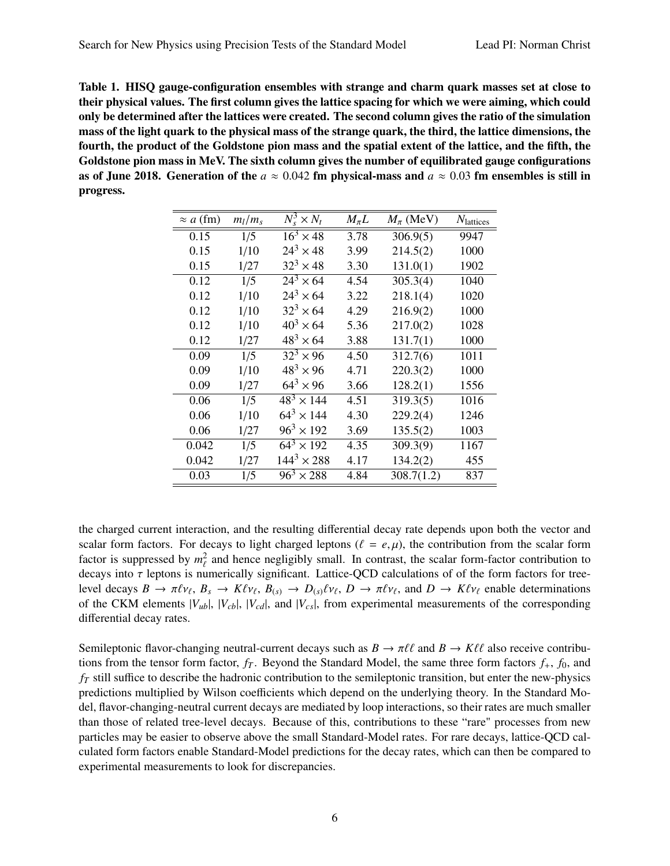<span id="page-5-0"></span>Table 1. HISQ gauge-configuration ensembles with strange and charm quark masses set at close to their physical values. The first column gives the lattice spacing for which we were aiming, which could only be determined after the lattices were created. The second column gives the ratio of the simulation mass of the light quark to the physical mass of the strange quark, the third, the lattice dimensions, the fourth, the product of the Goldstone pion mass and the spatial extent of the lattice, and the fifth, the Goldstone pion mass in MeV. The sixth column gives the number of equilibrated gauge configurations as of June 2018. Generation of the  $a \approx 0.042$  fm physical-mass and  $a \approx 0.03$  fm ensembles is still in progress.

| $\approx a$ (fm) | $m_l/m_s$ | $N_s^3 \times N_t$           | $M_{\pi}L$ | $M_{\pi}$ (MeV) | N <sub>lattices</sub> |
|------------------|-----------|------------------------------|------------|-----------------|-----------------------|
| 0.15             | 1/5       | $\overline{16^3} \times 48$  | 3.78       | 306.9(5)        | 9947                  |
| 0.15             | 1/10      | $24^3 \times 48$             | 3.99       | 214.5(2)        | 1000                  |
| 0.15             | 1/27      | $32^3 \times 48$             | 3.30       | 131.0(1)        | 1902                  |
| 0.12             | 1/5       | $24^3 \times 64$             | 4.54       | 305.3(4)        | 1040                  |
| 0.12             | 1/10      | $24^3 \times 64$             | 3.22       | 218.1(4)        | 1020                  |
| 0.12             | 1/10      | $32^{3} \times 64$           | 4.29       | 216.9(2)        | 1000                  |
| 0.12             | 1/10      | $40^{3} \times 64$           | 5.36       | 217.0(2)        | 1028                  |
| 0.12             | 1/27      | $48^{3} \times 64$           | 3.88       | 131.7(1)        | 1000                  |
| 0.09             | 1/5       | $32^3 \times 96$             | 4.50       | 312.7(6)        | 1011                  |
| 0.09             | 1/10      | $48^3 \times 96$             | 4.71       | 220.3(2)        | 1000                  |
| 0.09             | 1/27      | $64^3 \times 96$             | 3.66       | 128.2(1)        | 1556                  |
| 0.06             | 1/5       | $\overline{48^3} \times 144$ | 4.51       | 319.3(5)        | 1016                  |
| 0.06             | 1/10      | $64^3 \times 144$            | 4.30       | 229.2(4)        | 1246                  |
| 0.06             | 1/27      | $96^3 \times 192$            | 3.69       | 135.5(2)        | 1003                  |
| 0.042            | 1/5       | $\overline{6}4^3 \times 192$ | 4.35       | 309.3(9)        | 1167                  |
| 0.042            | 1/27      | $144^3 \times 288$           | 4.17       | 134.2(2)        | 455                   |
| 0.03             | 1/5       | $96^3 \times 288$            | 4.84       | 308.7(1.2)      | 837                   |

the charged current interaction, and the resulting differential decay rate depends upon both the vector and scalar form factors. For decays to light charged leptons ( $\ell = e, \mu$ ), the contribution from the scalar form factor is suppressed by  $m_\ell^2$  and hence negligibly small. In contrast, the scalar form-factor contribution to decays into  $\tau$  leptons is numerically significant. Lattice-QCD calculations of of the form factors for tree-<br>level decays  $B \to \pi \ell v$ ,  $B \to K \ell v$ ,  $B \to D \ell v$ ,  $D \to \pi \ell v$ , and  $D \to K \ell v$  enable determinations level decays  $B \to \pi \ell \nu_{\ell}, B_s \to K \ell \nu_{\ell}, B_{(s)} \to D_{(s)} \ell \nu_{\ell}, D \to \pi \ell \nu_{\ell}$ , and  $D \to K \ell \nu_{\ell}$  enable determinations of the CKM elements  $|V_{ub}|$ ,  $|V_{cb}|$ ,  $|V_{cd}|$ , and  $|V_{cs}|$ , from experimental measurements of the corresponding differential decay rates.

Semileptonic flavor-changing neutral-current decays such as  $B \to \pi \ell \ell$  and  $B \to K \ell \ell$  also receive contributions from the tensor form factor,  $f_T$ . Beyond the Standard Model, the same three form factors  $f_+$ ,  $f_0$ , and *f<sup>T</sup>* still suffice to describe the hadronic contribution to the semileptonic transition, but enter the new-physics predictions multiplied by Wilson coefficients which depend on the underlying theory. In the Standard Model, flavor-changing-neutral current decays are mediated by loop interactions, so their rates are much smaller than those of related tree-level decays. Because of this, contributions to these "rare" processes from new particles may be easier to observe above the small Standard-Model rates. For rare decays, lattice-QCD calculated form factors enable Standard-Model predictions for the decay rates, which can then be compared to experimental measurements to look for discrepancies.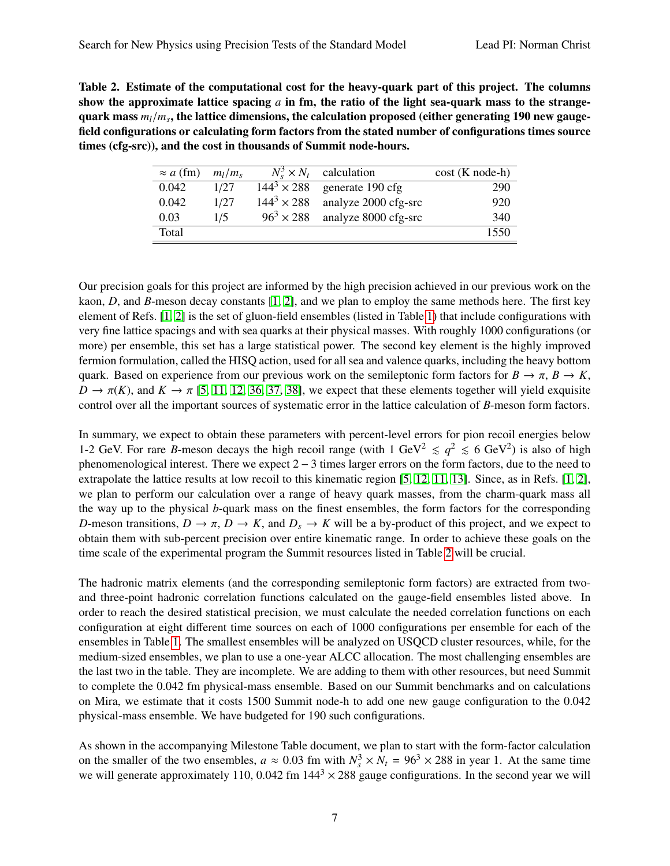<span id="page-6-0"></span>Table 2. Estimate of the computational cost for the heavy-quark part of this project. The columns show the approximate lattice spacing *a* in fm, the ratio of the light sea-quark mass to the strangequark mass  $m_l/m_s$ , the lattice dimensions, the calculation proposed (either generating 190 new gauge-<br>field configurations or calculating form factors from the stated number of configurations times source field configurations or calculating form factors from the stated number of configurations times source times (cfg-src)), and the cost in thousands of Summit node-hours.

| $\approx a$ (fm) | $m_l/m_s$ |                    | $N_{\rm s}^3 \times N_t$ calculation | $cost(K node-h)$ |
|------------------|-----------|--------------------|--------------------------------------|------------------|
| 0.042            | 1/27      | $144^3 \times 288$ | generate 190 cfg                     | 290              |
| 0.042            | 1/27      | $144^3 \times 288$ | analyze 2000 cfg-src                 | 920              |
| 0.03             | 1/5       | $96^3 \times 288$  | analyze 8000 cfg-src                 | 340              |
| Total            |           |                    |                                      | 1550             |

Our precision goals for this project are informed by the high precision achieved in our previous work on the kaon, *D*, and *B*-meson decay constants [\[1,](#page-15-0) [2\]](#page-15-1), and we plan to employ the same methods here. The first key element of Refs. [\[1,](#page-15-0) [2\]](#page-15-1) is the set of gluon-field ensembles (listed in Table [1\)](#page-5-0) that include configurations with very fine lattice spacings and with sea quarks at their physical masses. With roughly 1000 configurations (or more) per ensemble, this set has a large statistical power. The second key element is the highly improved fermion formulation, called the HISQ action, used for all sea and valence quarks, including the heavy bottom quark. Based on experience from our previous work on the semileptonic form factors for  $B \to \pi$ ,  $B \to K$ ,  $D \to \pi(K)$ , and  $K \to \pi$  [\[5,](#page-15-2) [11,](#page-15-4) [12,](#page-15-3) [36,](#page-16-15) [37,](#page-16-16) [38\]](#page-16-17), we expect that these elements together will yield exquisite control over all the important sources of systematic error in the lattice calculation of *B*-meson form factors.

In summary, we expect to obtain these parameters with percent-level errors for pion recoil energies below 1-2 GeV. For rare *B*-meson decays the high recoil range (with  $1 \text{ GeV}^2 \le q^2 \le 6 \text{ GeV}^2$ ) is also of high phenomenological interest. There we expect 2 − 3 times larger errors on the form factors, due to the need to extrapolate the lattice results at low recoil to this kinematic region [\[5,](#page-15-2) [12,](#page-15-3) [11,](#page-15-4) [13\]](#page-15-14). Since, as in Refs. [\[1,](#page-15-0) [2\]](#page-15-1), we plan to perform our calculation over a range of heavy quark masses, from the charm-quark mass all the way up to the physical *b*-quark mass on the finest ensembles, the form factors for the corresponding *D*-meson transitions,  $D \to \pi$ ,  $D \to K$ , and  $D_s \to K$  will be a by-product of this project, and we expect to obtain them with sub-percent precision over entire kinematic range. In order to achieve these goals on the time scale of the experimental program the Summit resources listed in Table [2](#page-6-0) will be crucial.

The hadronic matrix elements (and the corresponding semileptonic form factors) are extracted from twoand three-point hadronic correlation functions calculated on the gauge-field ensembles listed above. In order to reach the desired statistical precision, we must calculate the needed correlation functions on each configuration at eight different time sources on each of 1000 configurations per ensemble for each of the ensembles in Table [1.](#page-5-0) The smallest ensembles will be analyzed on USQCD cluster resources, while, for the medium-sized ensembles, we plan to use a one-year ALCC allocation. The most challenging ensembles are the last two in the table. They are incomplete. We are adding to them with other resources, but need Summit to complete the 0.042 fm physical-mass ensemble. Based on our Summit benchmarks and on calculations on Mira, we estimate that it costs 1500 Summit node-h to add one new gauge configuration to the 0.042 physical-mass ensemble. We have budgeted for 190 such configurations.

As shown in the accompanying Milestone Table document, we plan to start with the form-factor calculation on the smaller of the two ensembles,  $a \approx 0.03$  fm with  $N_s^3 \times N_t = 96^3 \times 288$  in year 1. At the same time we will generate approximately 110, 0.042 fm 144<sup>3</sup>  $\times$  288 gauge configurations. In the second year we will we will generate approximately 110, 0.042 fm  $144<sup>3</sup> \times 288$  gauge configurations. In the second year we will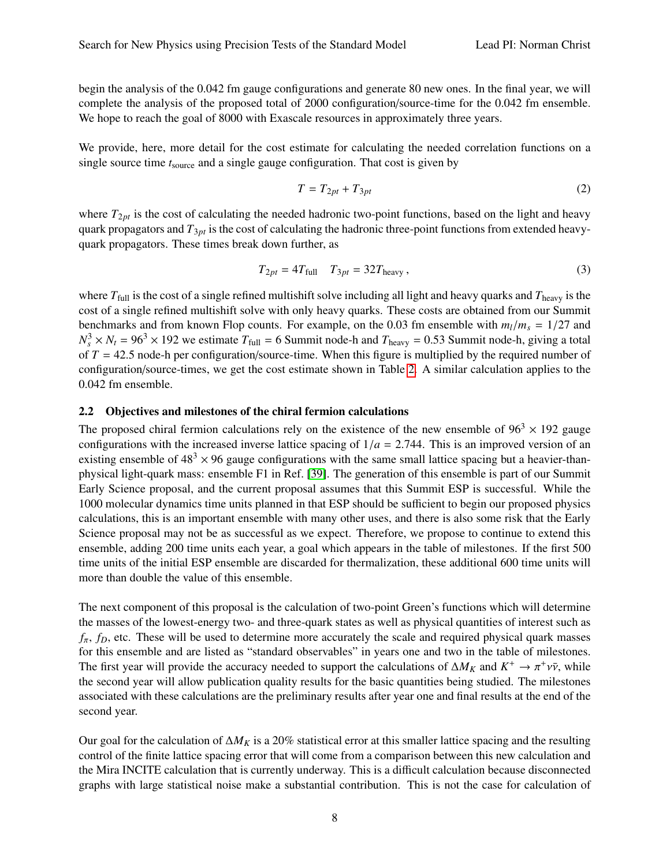begin the analysis of the 0.042 fm gauge configurations and generate 80 new ones. In the final year, we will complete the analysis of the proposed total of 2000 configuration/source-time for the 0.042 fm ensemble. We hope to reach the goal of 8000 with Exascale resources in approximately three years.

We provide, here, more detail for the cost estimate for calculating the needed correlation functions on a single source time *t*source and a single gauge configuration. That cost is given by

$$
T = T_{2pt} + T_{3pt} \tag{2}
$$

where  $T_{2pt}$  is the cost of calculating the needed hadronic two-point functions, based on the light and heavy quark propagators and *T*3*pt* is the cost of calculating the hadronic three-point functions from extended heavyquark propagators. These times break down further, as

$$
T_{2pt} = 4T_{\text{full}} \t T_{3pt} = 32T_{\text{heavy}},
$$
 (3)

where  $T_{full}$  is the cost of a single refined multishift solve including all light and heavy quarks and  $T_{heavy}$  is the cost of a single refined multishift solve with only heavy quarks. These costs are obtained from our Summit benchmarks and from known Flop counts. For example, on the 0.03 fm ensemble with  $m_l/m_s = 1/27$  and  $N_s^3 \times N_t = 96^3 \times 192$  we estimate  $T_{\text{full}} = 6$  Summit node-h and  $T_{\text{heavy}} = 0.53$  Summit node-h, giving a total<br>of  $T = 42.5$  node h per configuration/source time. When this figure is multiplied by the required number of of  $T = 42.5$  node-h per configuration/source-time. When this figure is multiplied by the required number of configuration/source-times, we get the cost estimate shown in Table [2.](#page-6-0) A similar calculation applies to the 0.042 fm ensemble.

### 2.2 Objectives and milestones of the chiral fermion calculations

The proposed chiral fermion calculations rely on the existence of the new ensemble of  $96<sup>3</sup> \times 192$  gauge configurations with the increased inverse lattice spacing of  $1/a = 2.744$ . This is an improved version of an existing ensemble of  $48<sup>3</sup> \times 96$  gauge configurations with the same small lattice spacing but a heavier-thanphysical light-quark mass: ensemble F1 in Ref. [\[39\]](#page-17-0). The generation of this ensemble is part of our Summit Early Science proposal, and the current proposal assumes that this Summit ESP is successful. While the 1000 molecular dynamics time units planned in that ESP should be sufficient to begin our proposed physics calculations, this is an important ensemble with many other uses, and there is also some risk that the Early Science proposal may not be as successful as we expect. Therefore, we propose to continue to extend this ensemble, adding 200 time units each year, a goal which appears in the table of milestones. If the first 500 time units of the initial ESP ensemble are discarded for thermalization, these additional 600 time units will more than double the value of this ensemble.

The next component of this proposal is the calculation of two-point Green's functions which will determine the masses of the lowest-energy two- and three-quark states as well as physical quantities of interest such as  $f_{\pi}$ ,  $f_D$ , etc. These will be used to determine more accurately the scale and required physical quark masses for this ensemble and are listed as "standard observables" in years one and two in the table of milestones. The first year will provide the accuracy needed to support the calculations of  $\Delta M_K$  and  $K^+ \to \pi^+ \nu \bar{\nu}$ , while<br>the second year will allow publication quality results for the basic quantities being studied. The milest the second year will allow publication quality results for the basic quantities being studied. The milestones associated with these calculations are the preliminary results after year one and final results at the end of the second year.

Our goal for the calculation of ∆*M<sup>K</sup>* is a 20% statistical error at this smaller lattice spacing and the resulting control of the finite lattice spacing error that will come from a comparison between this new calculation and the Mira INCITE calculation that is currently underway. This is a difficult calculation because disconnected graphs with large statistical noise make a substantial contribution. This is not the case for calculation of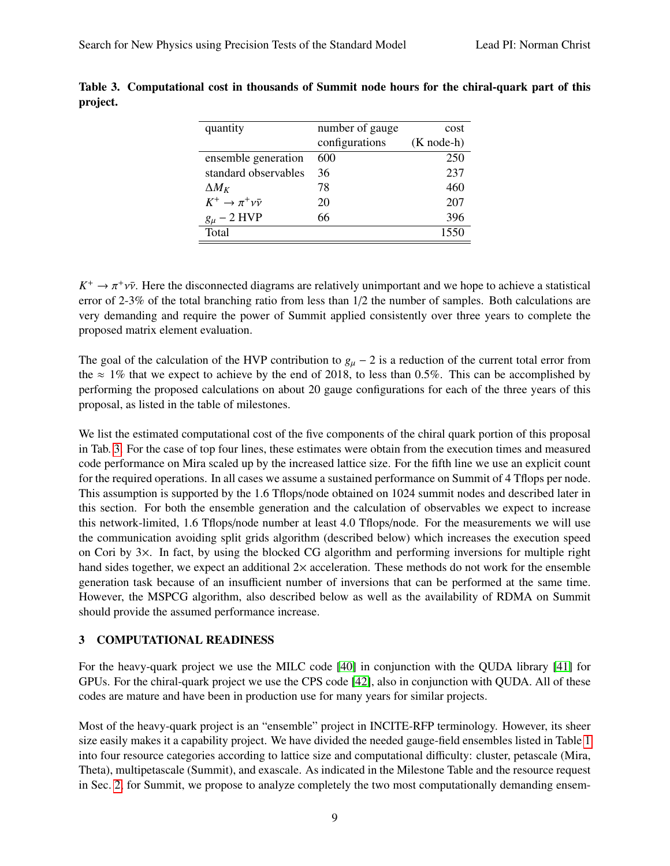| quantity                  | number of gauge | cost                 |
|---------------------------|-----------------|----------------------|
|                           | configurations  | $(K \text{ node-h})$ |
| ensemble generation       | 600             | 250                  |
| standard observables      | 36              | 237                  |
| $\Delta M_K$              | 78              | 460                  |
| $K^+\to\pi^+\nu\bar{\nu}$ | 20              | 207                  |
| $g_\mu$ – 2 HVP           | 66              | 396                  |
| Total                     |                 | 1550                 |

<span id="page-8-0"></span>Table 3. Computational cost in thousands of Summit node hours for the chiral-quark part of this project.

 $K^+ \to \pi^+ \nu \bar{\nu}$ . Here the disconnected diagrams are relatively unimportant and we hope to achieve a statistical property of 2.3% of the total branching ratio from less than 1/2 the number of samples. Both calculations error of 2-3% of the total branching ratio from less than 1/2 the number of samples. Both calculations are very demanding and require the power of Summit applied consistently over three years to complete the proposed matrix element evaluation.

The goal of the calculation of the HVP contribution to  $g_{\mu}$  – 2 is a reduction of the current total error from the  $\approx 1\%$  that we expect to achieve by the end of 2018, to less than 0.5%. This can be accomplished by performing the proposed calculations on about 20 gauge configurations for each of the three years of this proposal, as listed in the table of milestones.

We list the estimated computational cost of the five components of the chiral quark portion of this proposal in Tab. [3.](#page-8-0) For the case of top four lines, these estimates were obtain from the execution times and measured code performance on Mira scaled up by the increased lattice size. For the fifth line we use an explicit count for the required operations. In all cases we assume a sustained performance on Summit of 4 Tflops per node. This assumption is supported by the 1.6 Tflops/node obtained on 1024 summit nodes and described later in this section. For both the ensemble generation and the calculation of observables we expect to increase this network-limited, 1.6 Tflops/node number at least 4.0 Tflops/node. For the measurements we will use the communication avoiding split grids algorithm (described below) which increases the execution speed on Cori by 3×. In fact, by using the blocked CG algorithm and performing inversions for multiple right hand sides together, we expect an additional  $2\times$  acceleration. These methods do not work for the ensemble generation task because of an insufficient number of inversions that can be performed at the same time. However, the MSPCG algorithm, also described below as well as the availability of RDMA on Summit should provide the assumed performance increase.

### 3 COMPUTATIONAL READINESS

For the heavy-quark project we use the MILC code [\[40\]](#page-17-1) in conjunction with the QUDA library [\[41\]](#page-17-2) for GPUs. For the chiral-quark project we use the CPS code [\[42\]](#page-17-3), also in conjunction with QUDA. All of these codes are mature and have been in production use for many years for similar projects.

Most of the heavy-quark project is an "ensemble" project in INCITE-RFP terminology. However, its sheer size easily makes it a capability project. We have divided the needed gauge-field ensembles listed in Table [1](#page-5-0) into four resource categories according to lattice size and computational difficulty: cluster, petascale (Mira, Theta), multipetascale (Summit), and exascale. As indicated in the Milestone Table and the resource request in Sec. [2,](#page-4-0) for Summit, we propose to analyze completely the two most computationally demanding ensem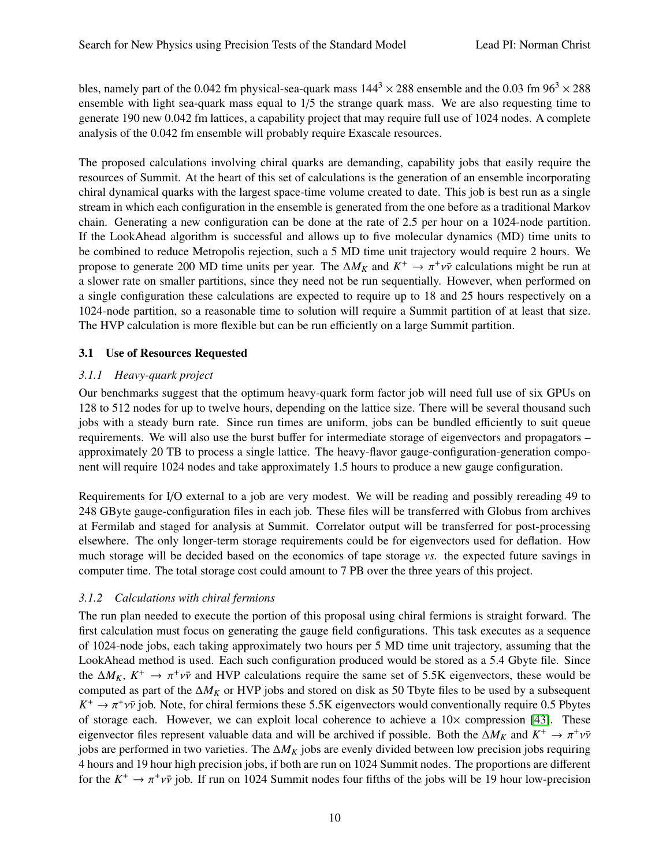bles, namely part of the 0.042 fm physical-sea-quark mass  $144^3 \times 288$  ensemble and the 0.03 fm  $96^3 \times 288$ ensemble with light sea-quark mass equal to 1/5 the strange quark mass. We are also requesting time to generate 190 new 0.042 fm lattices, a capability project that may require full use of 1024 nodes. A complete analysis of the 0.042 fm ensemble will probably require Exascale resources.

The proposed calculations involving chiral quarks are demanding, capability jobs that easily require the resources of Summit. At the heart of this set of calculations is the generation of an ensemble incorporating chiral dynamical quarks with the largest space-time volume created to date. This job is best run as a single stream in which each configuration in the ensemble is generated from the one before as a traditional Markov chain. Generating a new configuration can be done at the rate of 2.5 per hour on a 1024-node partition. If the LookAhead algorithm is successful and allows up to five molecular dynamics (MD) time units to be combined to reduce Metropolis rejection, such a 5 MD time unit trajectory would require 2 hours. We propose to generate 200 MD time units per year. The  $\Delta M_K$  and  $K^+ \to \pi^+ \nu \bar{\nu}$  calculations might be run at a slower rate on smaller partitions, since they need not be run sequentially. However, when performed on a slower rate on smaller partitions, since they need not be run sequentially. However, when performed on a single configuration these calculations are expected to require up to 18 and 25 hours respectively on a 1024-node partition, so a reasonable time to solution will require a Summit partition of at least that size. The HVP calculation is more flexible but can be run efficiently on a large Summit partition.

## 3.1 Use of Resources Requested

## *3.1.1 Heavy-quark project*

Our benchmarks suggest that the optimum heavy-quark form factor job will need full use of six GPUs on 128 to 512 nodes for up to twelve hours, depending on the lattice size. There will be several thousand such jobs with a steady burn rate. Since run times are uniform, jobs can be bundled efficiently to suit queue requirements. We will also use the burst buffer for intermediate storage of eigenvectors and propagators – approximately 20 TB to process a single lattice. The heavy-flavor gauge-configuration-generation component will require 1024 nodes and take approximately 1.5 hours to produce a new gauge configuration.

Requirements for I/O external to a job are very modest. We will be reading and possibly rereading 49 to 248 GByte gauge-configuration files in each job. These files will be transferred with Globus from archives at Fermilab and staged for analysis at Summit. Correlator output will be transferred for post-processing elsewhere. The only longer-term storage requirements could be for eigenvectors used for deflation. How much storage will be decided based on the economics of tape storage *vs.* the expected future savings in computer time. The total storage cost could amount to 7 PB over the three years of this project.

# *3.1.2 Calculations with chiral fermions*

The run plan needed to execute the portion of this proposal using chiral fermions is straight forward. The first calculation must focus on generating the gauge field configurations. This task executes as a sequence of 1024-node jobs, each taking approximately two hours per 5 MD time unit trajectory, assuming that the LookAhead method is used. Each such configuration produced would be stored as a 5.4 Gbyte file. Since the  $\Delta M_K$ ,  $K^+ \to \pi^+ \nu \bar{\nu}$  and HVP calculations require the same set of 5.5K eigenvectors, these would be computed as part of the  $\Delta M_{\nu}$  or HVP iobs and stored on disk as 50 Thyte files to be used by a subsequent computed as part of the ∆*M<sup>K</sup>* or HVP jobs and stored on disk as 50 Tbyte files to be used by a subsequent  $K^+ \to \pi^+ \nu \bar{\nu}$  job. Note, for chiral fermions these 5.5K eigenvectors would conventionally require 0.5 Pbytes<br>of storage each. However, we can exploit local coherence to achieve a 10× compression [43]. These of storage each. However, we can exploit local coherence to achieve a  $10\times$  compression [\[43\]](#page-17-4). These eigenvector files represent valuable data and will be archived if possible. Both the  $\Delta M_K$  and  $K^+ \to \pi^+ \nu \bar{\nu}$ <br>iobs are performed in two varieties. The  $\Delta M_{\nu}$  jobs are evenly divided between low precision jobs requ jobs are performed in two varieties. The ∆*M<sup>K</sup>* jobs are evenly divided between low precision jobs requiring 4 hours and 19 hour high precision jobs, if both are run on 1024 Summit nodes. The proportions are different for the  $K^+ \to \pi^+ \nu \bar{\nu}$  job. If run on 1024 Summit nodes four fifths of the jobs will be 19 hour low-precision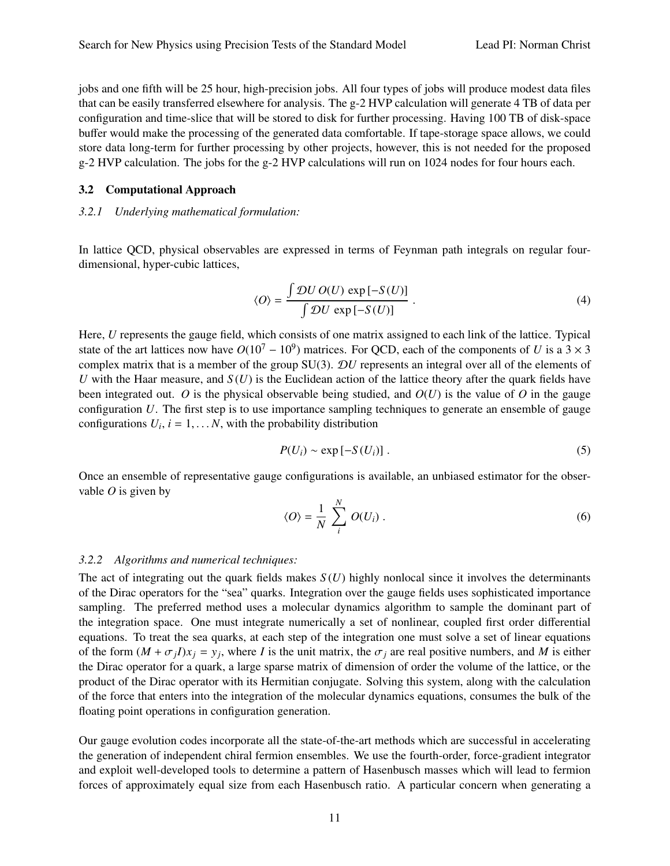jobs and one fifth will be 25 hour, high-precision jobs. All four types of jobs will produce modest data files that can be easily transferred elsewhere for analysis. The g-2 HVP calculation will generate 4 TB of data per configuration and time-slice that will be stored to disk for further processing. Having 100 TB of disk-space buffer would make the processing of the generated data comfortable. If tape-storage space allows, we could store data long-term for further processing by other projects, however, this is not needed for the proposed g-2 HVP calculation. The jobs for the g-2 HVP calculations will run on 1024 nodes for four hours each.

#### 3.2 Computational Approach

### *3.2.1 Underlying mathematical formulation:*

In lattice QCD, physical observables are expressed in terms of Feynman path integrals on regular fourdimensional, hyper-cubic lattices,

$$
\langle O \rangle = \frac{\int \mathcal{D}U \, O(U) \, \exp[-S(U)]}{\int \mathcal{D}U \, \exp[-S(U)]} \,. \tag{4}
$$

Here, *U* represents the gauge field, which consists of one matrix assigned to each link of the lattice. Typical state of the art lattices now have  $O(10^7 - 10^9)$  matrices. For QCD, each of the components of *U* is a  $3 \times 3$ complex matrix that is a member of the group SU(3). D*U* represents an integral over all of the elements of *U* with the Haar measure, and  $S(U)$  is the Euclidean action of the lattice theory after the quark fields have been integrated out. O is the physical observable being studied, and  $O(U)$  is the value of O in the gauge configuration *U*. The first step is to use importance sampling techniques to generate an ensemble of gauge configurations  $U_i$ ,  $i = 1, \ldots N$ , with the probability distribution

$$
P(U_i) \sim \exp\left[-S(U_i)\right].\tag{5}
$$

Once an ensemble of representative gauge configurations is available, an unbiased estimator for the observable *O* is given by

$$
\langle O \rangle = \frac{1}{N} \sum_{i}^{N} O(U_i) . \tag{6}
$$

#### *3.2.2 Algorithms and numerical techniques:*

The act of integrating out the quark fields makes  $S(U)$  highly nonlocal since it involves the determinants of the Dirac operators for the "sea" quarks. Integration over the gauge fields uses sophisticated importance sampling. The preferred method uses a molecular dynamics algorithm to sample the dominant part of the integration space. One must integrate numerically a set of nonlinear, coupled first order differential equations. To treat the sea quarks, at each step of the integration one must solve a set of linear equations of the form  $(M + \sigma_j I)x_j = y_j$ , where *I* is the unit matrix, the  $\sigma_j$  are real positive numbers, and *M* is either the plure operator for a quark, a large sparse matrix of dimension of order the volume of the lattice, or the the Dirac operator for a quark, a large sparse matrix of dimension of order the volume of the lattice, or the product of the Dirac operator with its Hermitian conjugate. Solving this system, along with the calculation of the force that enters into the integration of the molecular dynamics equations, consumes the bulk of the floating point operations in configuration generation.

Our gauge evolution codes incorporate all the state-of-the-art methods which are successful in accelerating the generation of independent chiral fermion ensembles. We use the fourth-order, force-gradient integrator and exploit well-developed tools to determine a pattern of Hasenbusch masses which will lead to fermion forces of approximately equal size from each Hasenbusch ratio. A particular concern when generating a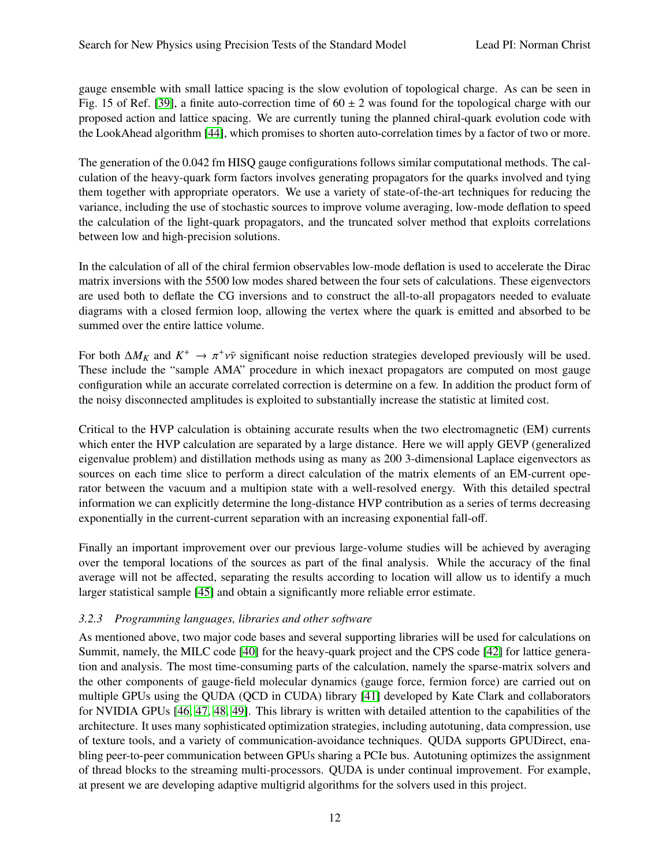gauge ensemble with small lattice spacing is the slow evolution of topological charge. As can be seen in Fig. 15 of Ref. [\[39\]](#page-17-0), a finite auto-correction time of  $60 \pm 2$  was found for the topological charge with our proposed action and lattice spacing. We are currently tuning the planned chiral-quark evolution code with the LookAhead algorithm [\[44\]](#page-17-5), which promises to shorten auto-correlation times by a factor of two or more.

The generation of the 0.042 fm HISQ gauge configurations follows similar computational methods. The calculation of the heavy-quark form factors involves generating propagators for the quarks involved and tying them together with appropriate operators. We use a variety of state-of-the-art techniques for reducing the variance, including the use of stochastic sources to improve volume averaging, low-mode deflation to speed the calculation of the light-quark propagators, and the truncated solver method that exploits correlations between low and high-precision solutions.

In the calculation of all of the chiral fermion observables low-mode deflation is used to accelerate the Dirac matrix inversions with the 5500 low modes shared between the four sets of calculations. These eigenvectors are used both to deflate the CG inversions and to construct the all-to-all propagators needed to evaluate diagrams with a closed fermion loop, allowing the vertex where the quark is emitted and absorbed to be summed over the entire lattice volume.

For both  $\Delta M_K$  and  $K^+ \to \pi^+ \nu \bar{\nu}$  significant noise reduction strategies developed previously will be used.<br>These include the "sample AMA" procedure in which inexact propagators are computed on most gauge. These include the "sample AMA" procedure in which inexact propagators are computed on most gauge configuration while an accurate correlated correction is determine on a few. In addition the product form of the noisy disconnected amplitudes is exploited to substantially increase the statistic at limited cost.

Critical to the HVP calculation is obtaining accurate results when the two electromagnetic (EM) currents which enter the HVP calculation are separated by a large distance. Here we will apply GEVP (generalized eigenvalue problem) and distillation methods using as many as 200 3-dimensional Laplace eigenvectors as sources on each time slice to perform a direct calculation of the matrix elements of an EM-current operator between the vacuum and a multipion state with a well-resolved energy. With this detailed spectral information we can explicitly determine the long-distance HVP contribution as a series of terms decreasing exponentially in the current-current separation with an increasing exponential fall-off.

Finally an important improvement over our previous large-volume studies will be achieved by averaging over the temporal locations of the sources as part of the final analysis. While the accuracy of the final average will not be affected, separating the results according to location will allow us to identify a much larger statistical sample [\[45\]](#page-17-6) and obtain a significantly more reliable error estimate.

## *3.2.3 Programming languages, libraries and other software*

As mentioned above, two major code bases and several supporting libraries will be used for calculations on Summit, namely, the MILC code [\[40\]](#page-17-1) for the heavy-quark project and the CPS code [\[42\]](#page-17-3) for lattice generation and analysis. The most time-consuming parts of the calculation, namely the sparse-matrix solvers and the other components of gauge-field molecular dynamics (gauge force, fermion force) are carried out on multiple GPUs using the QUDA (QCD in CUDA) library [\[41\]](#page-17-2) developed by Kate Clark and collaborators for NVIDIA GPUs [\[46,](#page-17-7) [47,](#page-17-8) [48,](#page-17-9) [49\]](#page-17-10). This library is written with detailed attention to the capabilities of the architecture. It uses many sophisticated optimization strategies, including autotuning, data compression, use of texture tools, and a variety of communication-avoidance techniques. QUDA supports GPUDirect, enabling peer-to-peer communication between GPUs sharing a PCIe bus. Autotuning optimizes the assignment of thread blocks to the streaming multi-processors. QUDA is under continual improvement. For example, at present we are developing adaptive multigrid algorithms for the solvers used in this project.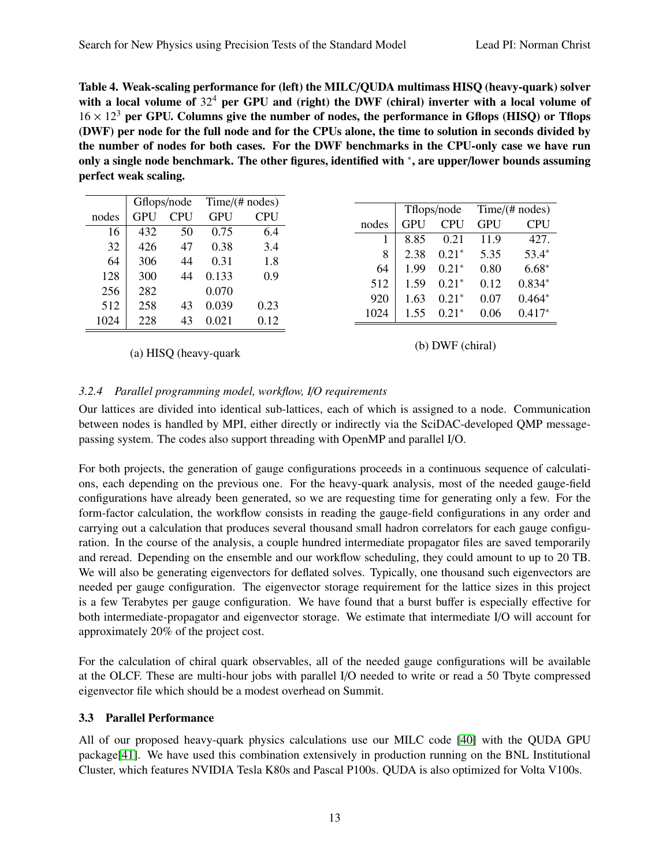<span id="page-12-0"></span>Table 4. Weak-scaling performance for (left) the MILC/QUDA multimass HISQ (heavy-quark) solver with a local volume of  $32<sup>4</sup>$  per GPU and (right) the DWF (chiral) inverter with a local volume of  $16 \times 12^3$  per GPU. Columns give the number of nodes, the performance in Gflops (HISQ) or Tflops (DWF) per node for the full node and for the CPUs alone, the time to solution in seconds divided by the number of nodes for both cases. For the DWF benchmarks in the CPU-only case we have run only a single node benchmark. The other figures, identified with <sup>∗</sup>, are upper/lower bounds assuming perfect weak scaling.

|       |     | Gflops/node | Time/(# nodes) |            |
|-------|-----|-------------|----------------|------------|
| nodes | GPU | <b>CPU</b>  | <b>GPU</b>     | <b>CPU</b> |
| 16    | 432 | 50          | 0.75           | 6.4        |
| 32    | 426 | 47          | 0.38           | 3.4        |
|       |     |             |                |            |
| 64    | 306 | 44          | 0.31           | 1.8        |
| 128   | 300 | 44          | 0.133          | 0.9        |
| 256   | 282 |             | 0.070          |            |
| 512   | 258 | 43          | 0.039          | 0.23       |
| 1024  | 228 | 43          | 0.021          | 0.12       |
|       |     |             |                |            |

(a) HISQ (heavy-quark

(b) DWF (chiral)

## *3.2.4 Parallel programming model, workflow, I*/*O requirements*

Our lattices are divided into identical sub-lattices, each of which is assigned to a node. Communication between nodes is handled by MPI, either directly or indirectly via the SciDAC-developed QMP messagepassing system. The codes also support threading with OpenMP and parallel I/O.

For both projects, the generation of gauge configurations proceeds in a continuous sequence of calculations, each depending on the previous one. For the heavy-quark analysis, most of the needed gauge-field configurations have already been generated, so we are requesting time for generating only a few. For the form-factor calculation, the workflow consists in reading the gauge-field configurations in any order and carrying out a calculation that produces several thousand small hadron correlators for each gauge configuration. In the course of the analysis, a couple hundred intermediate propagator files are saved temporarily and reread. Depending on the ensemble and our workflow scheduling, they could amount to up to 20 TB. We will also be generating eigenvectors for deflated solves. Typically, one thousand such eigenvectors are needed per gauge configuration. The eigenvector storage requirement for the lattice sizes in this project is a few Terabytes per gauge configuration. We have found that a burst buffer is especially effective for both intermediate-propagator and eigenvector storage. We estimate that intermediate I/O will account for approximately 20% of the project cost.

For the calculation of chiral quark observables, all of the needed gauge configurations will be available at the OLCF. These are multi-hour jobs with parallel I/O needed to write or read a 50 Tbyte compressed eigenvector file which should be a modest overhead on Summit.

## 3.3 Parallel Performance

All of our proposed heavy-quark physics calculations use our MILC code [\[40\]](#page-17-1) with the QUDA GPU package[\[41\]](#page-17-2). We have used this combination extensively in production running on the BNL Institutional Cluster, which features NVIDIA Tesla K80s and Pascal P100s. QUDA is also optimized for Volta V100s.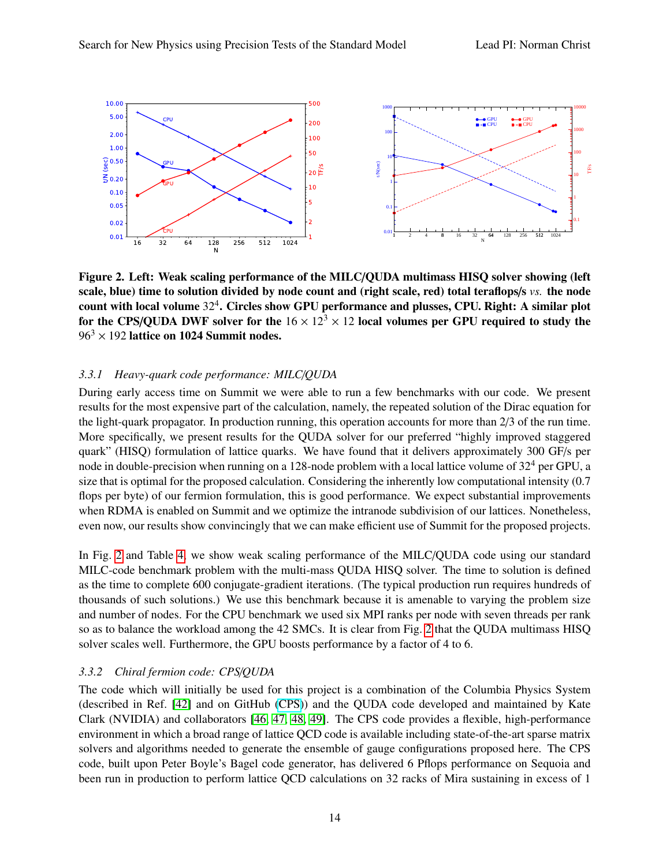<span id="page-13-0"></span>

Figure 2. Left: Weak scaling performance of the MILC/QUDA multimass HISQ solver showing (left scale, blue) time to solution divided by node count and (right scale, red) total teraflops/s *vs.* the node count with local volume  $32^4$ . Circles show GPU performance and plusses, CPU. Right: A similar plot for the CPS/QUDA DWF solver for the  $16 \times 12^3 \times 12$  local volumes per GPU required to study the  $96<sup>3</sup> \times 192$  lattice on 1024 Summit nodes.

### *3.3.1 Heavy-quark code performance: MILC*/*QUDA*

During early access time on Summit we were able to run a few benchmarks with our code. We present results for the most expensive part of the calculation, namely, the repeated solution of the Dirac equation for the light-quark propagator. In production running, this operation accounts for more than 2/3 of the run time. More specifically, we present results for the QUDA solver for our preferred "highly improved staggered quark" (HISQ) formulation of lattice quarks. We have found that it delivers approximately 300 GF/s per node in double-precision when running on a 128-node problem with a local lattice volume of  $32^4$  per GPU, a size that is optimal for the proposed calculation. Considering the inherently low computational intensity (0.7 flops per byte) of our fermion formulation, this is good performance. We expect substantial improvements when RDMA is enabled on Summit and we optimize the intranode subdivision of our lattices. Nonetheless, even now, our results show convincingly that we can make efficient use of Summit for the proposed projects.

In Fig. [2](#page-13-0) and Table [4,](#page-12-0) we show weak scaling performance of the MILC/QUDA code using our standard MILC-code benchmark problem with the multi-mass QUDA HISQ solver. The time to solution is defined as the time to complete 600 conjugate-gradient iterations. (The typical production run requires hundreds of thousands of such solutions.) We use this benchmark because it is amenable to varying the problem size and number of nodes. For the CPU benchmark we used six MPI ranks per node with seven threads per rank so as to balance the workload among the 42 SMCs. It is clear from Fig. [2](#page-13-0) that the QUDA multimass HISQ solver scales well. Furthermore, the GPU boosts performance by a factor of 4 to 6.

## *3.3.2 Chiral fermion code: CPS*/*QUDA*

The code which will initially be used for this project is a combination of the Columbia Physics System (described in Ref. [\[42\]](#page-17-3) and on GitHub [\(CPS\)](https://github.com/RBC-UKQCD/CPS)) and the QUDA code developed and maintained by Kate Clark (NVIDIA) and collaborators [\[46,](#page-17-7) [47,](#page-17-8) [48,](#page-17-9) [49\]](#page-17-10). The CPS code provides a flexible, high-performance environment in which a broad range of lattice QCD code is available including state-of-the-art sparse matrix solvers and algorithms needed to generate the ensemble of gauge configurations proposed here. The CPS code, built upon Peter Boyle's Bagel code generator, has delivered 6 Pflops performance on Sequoia and been run in production to perform lattice QCD calculations on 32 racks of Mira sustaining in excess of 1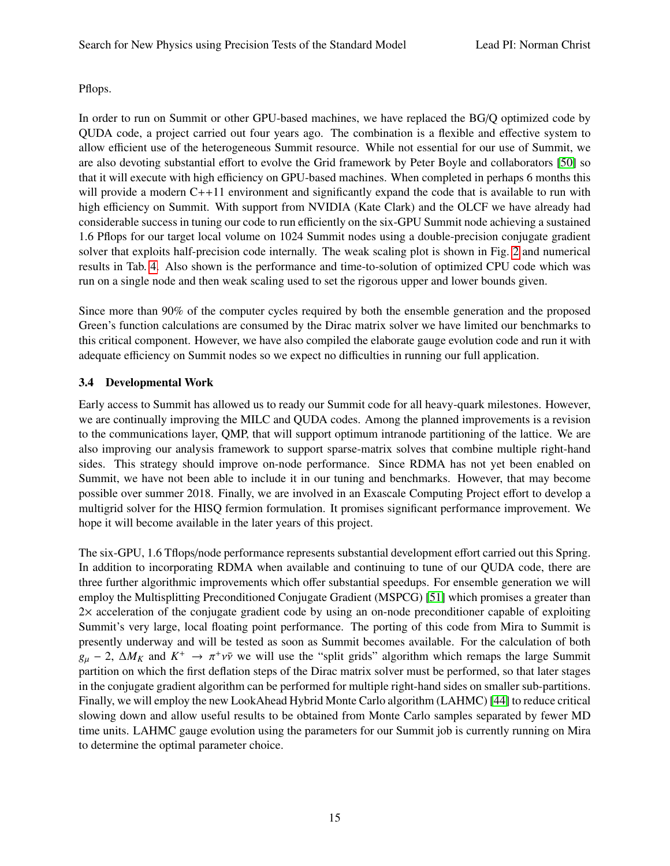## Pflops.

In order to run on Summit or other GPU-based machines, we have replaced the BG/Q optimized code by QUDA code, a project carried out four years ago. The combination is a flexible and effective system to allow efficient use of the heterogeneous Summit resource. While not essential for our use of Summit, we are also devoting substantial effort to evolve the Grid framework by Peter Boyle and collaborators [\[50\]](#page-17-11) so that it will execute with high efficiency on GPU-based machines. When completed in perhaps 6 months this will provide a modern C++11 environment and significantly expand the code that is available to run with high efficiency on Summit. With support from NVIDIA (Kate Clark) and the OLCF we have already had considerable success in tuning our code to run efficiently on the six-GPU Summit node achieving a sustained 1.6 Pflops for our target local volume on 1024 Summit nodes using a double-precision conjugate gradient solver that exploits half-precision code internally. The weak scaling plot is shown in Fig. [2](#page-13-0) and numerical results in Tab. [4.](#page-12-0) Also shown is the performance and time-to-solution of optimized CPU code which was run on a single node and then weak scaling used to set the rigorous upper and lower bounds given.

Since more than 90% of the computer cycles required by both the ensemble generation and the proposed Green's function calculations are consumed by the Dirac matrix solver we have limited our benchmarks to this critical component. However, we have also compiled the elaborate gauge evolution code and run it with adequate efficiency on Summit nodes so we expect no difficulties in running our full application.

# 3.4 Developmental Work

Early access to Summit has allowed us to ready our Summit code for all heavy-quark milestones. However, we are continually improving the MILC and QUDA codes. Among the planned improvements is a revision to the communications layer, QMP, that will support optimum intranode partitioning of the lattice. We are also improving our analysis framework to support sparse-matrix solves that combine multiple right-hand sides. This strategy should improve on-node performance. Since RDMA has not yet been enabled on Summit, we have not been able to include it in our tuning and benchmarks. However, that may become possible over summer 2018. Finally, we are involved in an Exascale Computing Project effort to develop a multigrid solver for the HISQ fermion formulation. It promises significant performance improvement. We hope it will become available in the later years of this project.

The six-GPU, 1.6 Tflops/node performance represents substantial development effort carried out this Spring. In addition to incorporating RDMA when available and continuing to tune of our QUDA code, there are three further algorithmic improvements which offer substantial speedups. For ensemble generation we will employ the Multisplitting Preconditioned Conjugate Gradient (MSPCG) [\[51\]](#page-17-12) which promises a greater than 2× acceleration of the conjugate gradient code by using an on-node preconditioner capable of exploiting Summit's very large, local floating point performance. The porting of this code from Mira to Summit is presently underway and will be tested as soon as Summit becomes available. For the calculation of both  $g_{\mu} - 2$ ,  $\Delta M_K$  and  $K^+ \rightarrow \pi^+ \nu \bar{\nu}$  we will use the "split grids" algorithm which remaps the large Summit partition on which the first deflation steps of the Dirac matrix solver must be performed, so that later stages in the conjugate gradient algorithm can be performed for multiple right-hand sides on smaller sub-partitions. Finally, we will employ the new LookAhead Hybrid Monte Carlo algorithm (LAHMC) [\[44\]](#page-17-5) to reduce critical slowing down and allow useful results to be obtained from Monte Carlo samples separated by fewer MD time units. LAHMC gauge evolution using the parameters for our Summit job is currently running on Mira to determine the optimal parameter choice.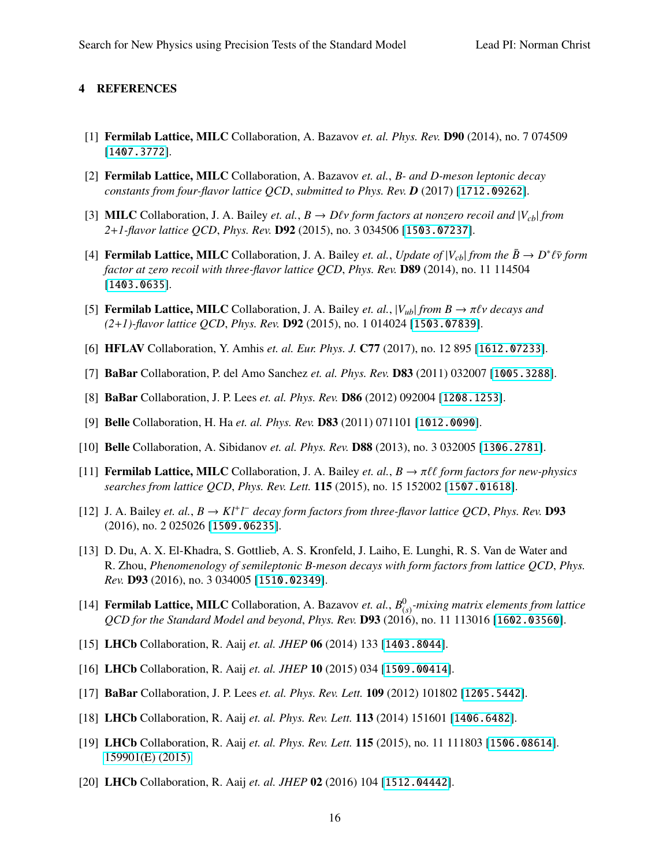### 4 REFERENCES

- <span id="page-15-0"></span>[1] Fermilab Lattice, MILC Collaboration, A. Bazavov *et. al. Phys. Rev.* D90 (2014), no. 7 074509 [[1407.3772](http://arXiv.org/abs/1407.3772)].
- <span id="page-15-1"></span>[2] Fermilab Lattice, MILC Collaboration, A. Bazavov *et. al.*, *B- and D-meson leptonic decay constants from four-flavor lattice QCD*, *submitted to Phys. Rev. D* (2017) [[1712.09262](http://arXiv.org/abs/1712.09262)].
- <span id="page-15-7"></span>[3] **MILC** Collaboration, J. A. Bailey *et. al.*,  $B \to D\ell\nu$  *form factors at nonzero recoil and*  $|V_{cb}|$  *from 2*+*1-flavor lattice QCD*, *Phys. Rev.* D92 (2015), no. 3 034506 [[1503.07237](http://arXiv.org/abs/1503.07237)].
- <span id="page-15-8"></span>[4] **Fermilab Lattice, MILC** Collaboration, J. A. Bailey *et. al., Update of*  $|V_{cb}|$  *from the*  $\bar{B} \to D^* \ell \bar{\nu}$  *form*<br>*factor at zero recoil with three-flavor lattice OCD, Phys. Rev. D89 (2014), po. 11 114504 factor at zero recoil with three-flavor lattice QCD*, *Phys. Rev.* D89 (2014), no. 11 114504 [[1403.0635](http://arXiv.org/abs/1403.0635)].
- <span id="page-15-2"></span>[5] **Fermilab Lattice, MILC** Collaboration, J. A. Bailey *et. al.*,  $|V_{ub}|$  *from B*  $\rightarrow \pi \ell \nu$  *decays and (2*+*1)-flavor lattice QCD*, *Phys. Rev.* D92 (2015), no. 1 014024 [[1503.07839](http://arXiv.org/abs/1503.07839)].
- <span id="page-15-9"></span>[6] HFLAV Collaboration, Y. Amhis *et. al. Eur. Phys. J.* C77 (2017), no. 12 895 [[1612.07233](http://arXiv.org/abs/1612.07233)].
- <span id="page-15-10"></span>[7] BaBar Collaboration, P. del Amo Sanchez *et. al. Phys. Rev.* D83 (2011) 032007 [[1005.3288](http://arXiv.org/abs/1005.3288)].
- <span id="page-15-11"></span>[8] BaBar Collaboration, J. P. Lees *et. al. Phys. Rev.* D86 (2012) 092004 [[1208.1253](http://arXiv.org/abs/1208.1253)].
- <span id="page-15-12"></span>[9] Belle Collaboration, H. Ha *et. al. Phys. Rev.* D83 (2011) 071101 [[1012.0090](http://arXiv.org/abs/1012.0090)].
- <span id="page-15-13"></span>[10] Belle Collaboration, A. Sibidanov *et. al. Phys. Rev.* D88 (2013), no. 3 032005 [[1306.2781](http://arXiv.org/abs/1306.2781)].
- <span id="page-15-4"></span>[11] **Fermilab Lattice, MILC** Collaboration, J. A. Bailey *et. al.*,  $B \to \pi \ell \ell$  form factors for new-physics *searches from lattice QCD*, *Phys. Rev. Lett.* 115 (2015), no. 15 152002 [[1507.01618](http://arXiv.org/abs/1507.01618)].
- <span id="page-15-3"></span>[12] J. A. Bailey *et. al.*,  $B \to K l^+ l^-$  decay form factors from three-flavor lattice QCD, Phys. Rev. **D93** (2016), no. 2 025026 [[1509.06235](http://arXiv.org/abs/1509.06235)].
- <span id="page-15-14"></span>[13] D. Du, A. X. El-Khadra, S. Gottlieb, A. S. Kronfeld, J. Laiho, E. Lunghi, R. S. Van de Water and R. Zhou, *Phenomenology of semileptonic B-meson decays with form factors from lattice QCD*, *Phys. Rev.* D93 (2016), no. 3 034005 [[1510.02349](http://arXiv.org/abs/1510.02349)].
- <span id="page-15-15"></span>[14] **Fermilab Lattice, MILC** Collaboration, A. Bazavov *et. al.*,  $B^0_{(s)}$ -mixing matrix elements from lattice *QCD for the Standard Model and beyond*, *Phys. Rev.* D93 (2016), no. 11 113016 [[1602.03560](http://arXiv.org/abs/1602.03560)].
- <span id="page-15-5"></span>[15] LHCb Collaboration, R. Aaij *et. al. JHEP* 06 (2014) 133 [[1403.8044](http://arXiv.org/abs/1403.8044)].
- <span id="page-15-6"></span>[16] LHCb Collaboration, R. Aaij *et. al. JHEP* 10 (2015) 034 [[1509.00414](http://arXiv.org/abs/1509.00414)].
- <span id="page-15-16"></span>[17] BaBar Collaboration, J. P. Lees *et. al. Phys. Rev. Lett.* 109 (2012) 101802 [[1205.5442](http://arXiv.org/abs/1205.5442)].
- <span id="page-15-17"></span>[18] LHCb Collaboration, R. Aaij *et. al. Phys. Rev. Lett.* 113 (2014) 151601 [[1406.6482](http://arXiv.org/abs/1406.6482)].
- <span id="page-15-18"></span>[19] LHCb Collaboration, R. Aaij *et. al. Phys. Rev. Lett.* 115 (2015), no. 11 111803 [[1506.08614](http://arXiv.org/abs/1506.08614)]. [159901\(E\) \(2015\).](http://dor.org/10.1103/PhysRevLett.115.159901)
- <span id="page-15-19"></span>[20] LHCb Collaboration, R. Aaij *et. al. JHEP* 02 (2016) 104 [[1512.04442](http://arXiv.org/abs/1512.04442)].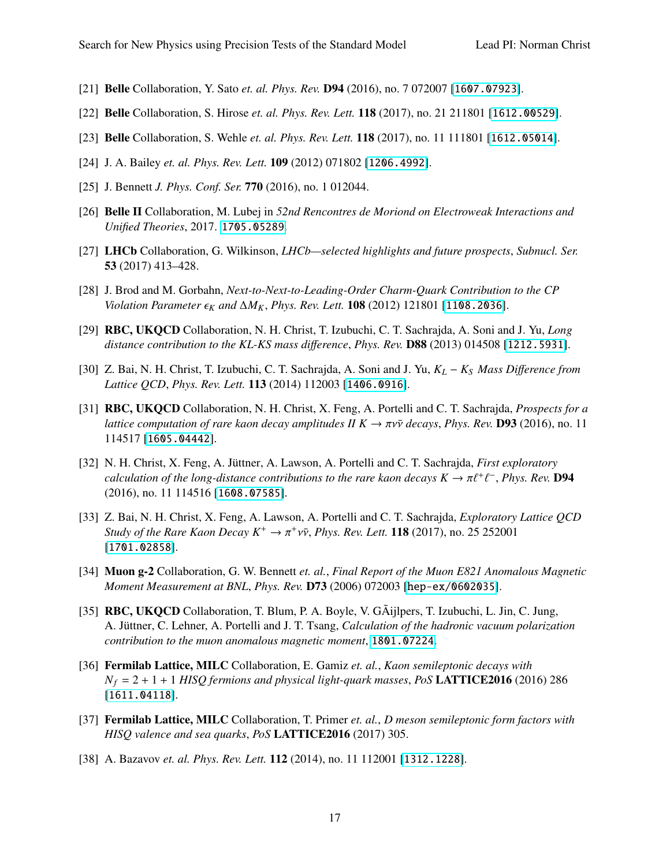- <span id="page-16-0"></span>[21] Belle Collaboration, Y. Sato *et. al. Phys. Rev.* D94 (2016), no. 7 072007 [[1607.07923](http://arXiv.org/abs/1607.07923)].
- <span id="page-16-1"></span>[22] Belle Collaboration, S. Hirose *et. al. Phys. Rev. Lett.* 118 (2017), no. 21 211801 [[1612.00529](http://arXiv.org/abs/1612.00529)].
- <span id="page-16-2"></span>[23] Belle Collaboration, S. Wehle *et. al. Phys. Rev. Lett.* 118 (2017), no. 11 111801 [[1612.05014](http://arXiv.org/abs/1612.05014)].
- <span id="page-16-3"></span>[24] J. A. Bailey *et. al. Phys. Rev. Lett.* 109 (2012) 071802 [[1206.4992](http://arXiv.org/abs/1206.4992)].
- <span id="page-16-4"></span>[25] J. Bennett *J. Phys. Conf. Ser.* 770 (2016), no. 1 012044.
- <span id="page-16-5"></span>[26] Belle II Collaboration, M. Lubej in *52nd Rencontres de Moriond on Electroweak Interactions and Unified Theories*, 2017. [1705.05289](http://arXiv.org/abs/1705.05289).
- <span id="page-16-6"></span>[27] LHCb Collaboration, G. Wilkinson, *LHCb—selected highlights and future prospects*, *Subnucl. Ser.* 53 (2017) 413–428.
- <span id="page-16-7"></span>[28] J. Brod and M. Gorbahn, *Next-to-Next-to-Leading-Order Charm-Quark Contribution to the CP Violation Parameter*  $\epsilon_K$  *and* ∆*M*<sub>*K*</sub>, *Phys. Rev. Lett.* **108** (2012) 121801 [[1108.2036](http://arXiv.org/abs/1108.2036)].
- <span id="page-16-8"></span>[29] RBC, UKQCD Collaboration, N. H. Christ, T. Izubuchi, C. T. Sachrajda, A. Soni and J. Yu, *Long distance contribution to the KL-KS mass di*ff*erence*, *Phys. Rev.* D88 (2013) 014508 [[1212.5931](http://arXiv.org/abs/1212.5931)].
- <span id="page-16-9"></span>[30] Z. Bai, N. H. Christ, T. Izubuchi, C. T. Sachrajda, A. Soni and J. Yu, *K<sup>L</sup>* − *K<sup>S</sup> Mass Di*ff*erence from Lattice QCD*, *Phys. Rev. Lett.* 113 (2014) 112003 [[1406.0916](http://arXiv.org/abs/1406.0916)].
- <span id="page-16-10"></span>[31] RBC, UKQCD Collaboration, N. H. Christ, X. Feng, A. Portelli and C. T. Sachrajda, *Prospects for a lattice computation of rare kaon decay amplitudes II*  $K \to \pi v\bar{v}$  *decays, Phys. Rev. D93 (2016), no. 11* 114517 [[1605.04442](http://arXiv.org/abs/1605.04442)].
- <span id="page-16-11"></span>[32] N. H. Christ, X. Feng, A. Jüttner, A. Lawson, A. Portelli and C. T. Sachrajda, *First exploratory calculation of the long-distance contributions to the rare kaon decays*  $K \to \pi \ell^+ \ell$ <br>(2016) no 11 114516 [1608, 07585] − , *Phys. Rev.* D94 (2016), no. 11 114516 [[1608.07585](http://arXiv.org/abs/1608.07585)].
- <span id="page-16-12"></span>[33] Z. Bai, N. H. Christ, X. Feng, A. Lawson, A. Portelli and C. T. Sachrajda, *Exploratory Lattice QCD Study of the Rare Kaon Decay K<sup>+</sup>* → π<sup>+</sup>ννν, *Phys. Rev. Lett.* **118** (2017), no. 25 252001<br>[1701\_02858] [[1701.02858](http://arXiv.org/abs/1701.02858)].
- <span id="page-16-13"></span>[34] Muon g-2 Collaboration, G. W. Bennett *et. al.*, *Final Report of the Muon E821 Anomalous Magnetic Moment Measurement at BNL*, *Phys. Rev.* D73 (2006) 072003 [[hep-ex/0602035](http://arXiv.org/abs/hep-ex/0602035)].
- <span id="page-16-14"></span>[35] RBC, UKQCD Collaboration, T. Blum, P. A. Boyle, V. GÃijlpers, T. Izubuchi, L. Jin, C. Jung, A. Jüttner, C. Lehner, A. Portelli and J. T. Tsang, *Calculation of the hadronic vacuum polarization contribution to the muon anomalous magnetic moment*, [1801.07224](http://arXiv.org/abs/1801.07224).
- <span id="page-16-15"></span>[36] Fermilab Lattice, MILC Collaboration, E. Gamiz *et. al.*, *Kaon semileptonic decays with*  $N_f = 2 + 1 + 1$  *HISQ fermions and physical light-quark masses, PoS* **LATTICE2016** (2016) 286 [[1611.04118](http://arXiv.org/abs/1611.04118)].
- <span id="page-16-16"></span>[37] Fermilab Lattice, MILC Collaboration, T. Primer *et. al.*, *D meson semileptonic form factors with HISQ valence and sea quarks*, *PoS* LATTICE2016 (2017) 305.
- <span id="page-16-17"></span>[38] A. Bazavov *et. al. Phys. Rev. Lett.* 112 (2014), no. 11 112001 [[1312.1228](http://arXiv.org/abs/1312.1228)].